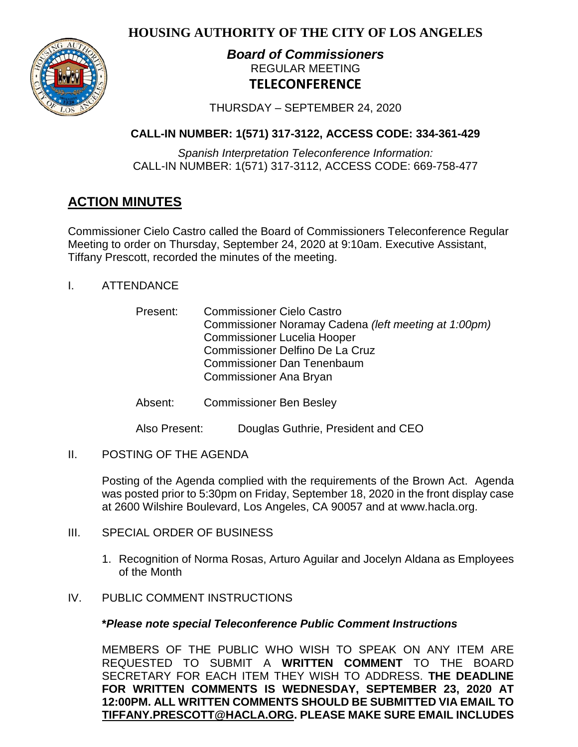**HOUSING AUTHORITY OF THE CITY OF LOS ANGELES**



# *Board of Commissioners* REGULAR MEETING **TELECONFERENCE**

THURSDAY – SEPTEMBER 24, 2020

# **CALL-IN NUMBER: 1(571) 317-3122, ACCESS CODE: 334-361-429**

*Spanish Interpretation Teleconference Information:* CALL-IN NUMBER: 1(571) 317-3112, ACCESS CODE: 669-758-477

# **ACTION MINUTES**

Commissioner Cielo Castro called the Board of Commissioners Teleconference Regular Meeting to order on Thursday, September 24, 2020 at 9:10am. Executive Assistant, Tiffany Prescott, recorded the minutes of the meeting.

- I. ATTENDANCE
	- Present: Commissioner Cielo Castro Commissioner Noramay Cadena *(left meeting at 1:00pm)* Commissioner Lucelia Hooper Commissioner Delfino De La Cruz Commissioner Dan Tenenbaum Commissioner Ana Bryan
	- Absent: Commissioner Ben Besley

Also Present: Douglas Guthrie, President and CEO

II. POSTING OF THE AGENDA

Posting of the Agenda complied with the requirements of the Brown Act. Agenda was posted prior to 5:30pm on Friday, September 18, 2020 in the front display case at 2600 Wilshire Boulevard, Los Angeles, CA 90057 and at [www.hacla.org.](http://www.hacla.org/)

- III. SPECIAL ORDER OF BUSINESS
	- 1. Recognition of Norma Rosas, Arturo Aguilar and Jocelyn Aldana as Employees of the Month
- IV. PUBLIC COMMENT INSTRUCTIONS

# **\****Please note special Teleconference Public Comment Instructions*

MEMBERS OF THE PUBLIC WHO WISH TO SPEAK ON ANY ITEM ARE REQUESTED TO SUBMIT A **WRITTEN COMMENT** TO THE BOARD SECRETARY FOR EACH ITEM THEY WISH TO ADDRESS. **THE DEADLINE FOR WRITTEN COMMENTS IS WEDNESDAY, SEPTEMBER 23, 2020 AT 12:00PM. ALL WRITTEN COMMENTS SHOULD BE SUBMITTED VIA EMAIL TO [TIFFANY.PRESCOTT@HACLA.ORG.](mailto:TIFFANY.PRESCOTT@HACLA.ORG) PLEASE MAKE SURE EMAIL INCLUDES**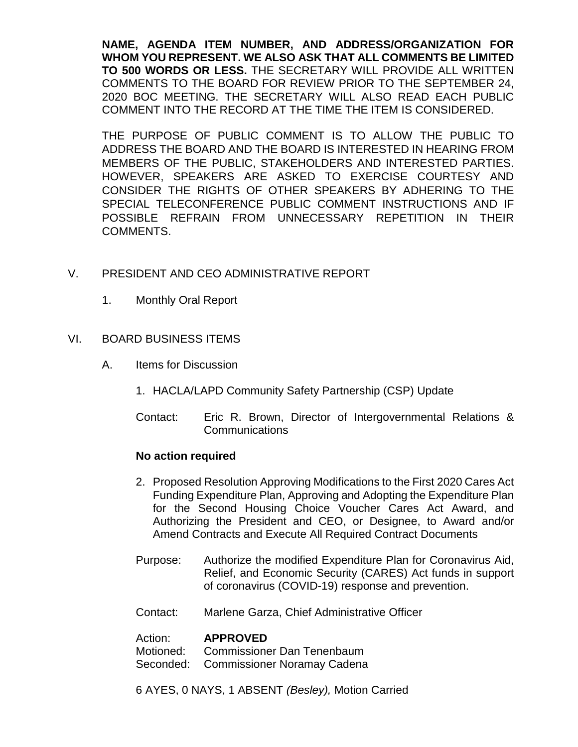**NAME, AGENDA ITEM NUMBER, AND ADDRESS/ORGANIZATION FOR WHOM YOU REPRESENT. WE ALSO ASK THAT ALL COMMENTS BE LIMITED TO 500 WORDS OR LESS.** THE SECRETARY WILL PROVIDE ALL WRITTEN COMMENTS TO THE BOARD FOR REVIEW PRIOR TO THE SEPTEMBER 24, 2020 BOC MEETING. THE SECRETARY WILL ALSO READ EACH PUBLIC COMMENT INTO THE RECORD AT THE TIME THE ITEM IS CONSIDERED.

THE PURPOSE OF PUBLIC COMMENT IS TO ALLOW THE PUBLIC TO ADDRESS THE BOARD AND THE BOARD IS INTERESTED IN HEARING FROM MEMBERS OF THE PUBLIC, STAKEHOLDERS AND INTERESTED PARTIES. HOWEVER, SPEAKERS ARE ASKED TO EXERCISE COURTESY AND CONSIDER THE RIGHTS OF OTHER SPEAKERS BY ADHERING TO THE SPECIAL TELECONFERENCE PUBLIC COMMENT INSTRUCTIONS AND IF POSSIBLE REFRAIN FROM UNNECESSARY REPETITION IN THEIR COMMENTS.

# V. PRESIDENT AND CEO ADMINISTRATIVE REPORT

1. Monthly Oral Report

# VI. BOARD BUSINESS ITEMS

- A. Items for Discussion
	- 1. HACLA/LAPD Community Safety Partnership (CSP) Update
	- Contact: Eric R. Brown, Director of Intergovernmental Relations & Communications

# **No action required**

- 2. Proposed Resolution Approving Modifications to the First 2020 Cares Act Funding Expenditure Plan, Approving and Adopting the Expenditure Plan for the Second Housing Choice Voucher Cares Act Award, and Authorizing the President and CEO, or Designee, to Award and/or Amend Contracts and Execute All Required Contract Documents
- Purpose: Authorize the modified Expenditure Plan for Coronavirus Aid, Relief, and Economic Security (CARES) Act funds in support of coronavirus (COVID-19) response and prevention.
- Contact: Marlene Garza, Chief Administrative Officer

Action: **APPROVED**<br>Motioned: Commissione Commissioner Dan Tenenbaum

Seconded: Commissioner Noramay Cadena

6 AYES, 0 NAYS, 1 ABSENT *(Besley),* Motion Carried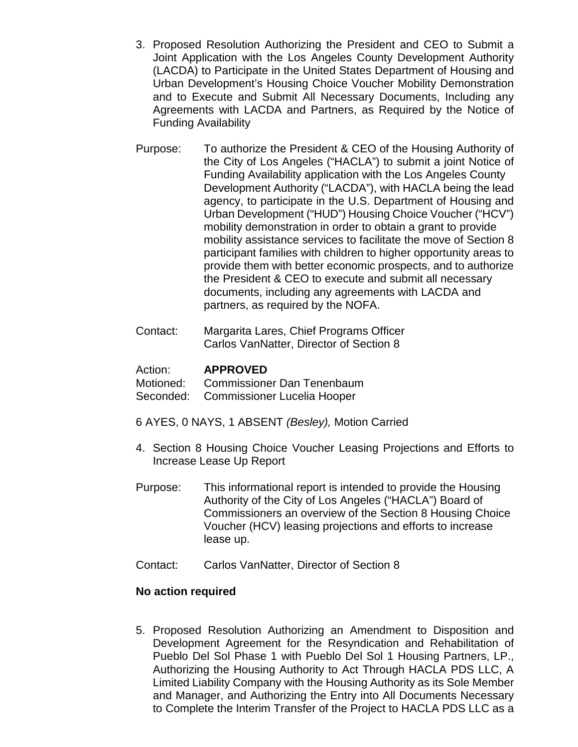- 3. Proposed Resolution Authorizing the President and CEO to Submit a Joint Application with the Los Angeles County Development Authority (LACDA) to Participate in the United States Department of Housing and Urban Development's Housing Choice Voucher Mobility Demonstration and to Execute and Submit All Necessary Documents, Including any Agreements with LACDA and Partners, as Required by the Notice of Funding Availability
- Purpose: To authorize the President & CEO of the Housing Authority of the City of Los Angeles ("HACLA") to submit a joint Notice of Funding Availability application with the Los Angeles County Development Authority ("LACDA"), with HACLA being the lead agency, to participate in the U.S. Department of Housing and Urban Development ("HUD") Housing Choice Voucher ("HCV") mobility demonstration in order to obtain a grant to provide mobility assistance services to facilitate the move of Section 8 participant families with children to higher opportunity areas to provide them with better economic prospects, and to authorize the President & CEO to execute and submit all necessary documents, including any agreements with LACDA and partners, as required by the NOFA.
- Contact: Margarita Lares, Chief Programs Officer Carlos VanNatter, Director of Section 8

# Action: **APPROVED**

Motioned: Commissioner Dan Tenenbaum

- Seconded: Commissioner Lucelia Hooper
- 6 AYES, 0 NAYS, 1 ABSENT *(Besley),* Motion Carried
- 4. Section 8 Housing Choice Voucher Leasing Projections and Efforts to Increase Lease Up Report
- Purpose: This informational report is intended to provide the Housing Authority of the City of Los Angeles ("HACLA") Board of Commissioners an overview of the Section 8 Housing Choice Voucher (HCV) leasing projections and efforts to increase lease up.
- Contact: Carlos VanNatter, Director of Section 8

# **No action required**

5. Proposed Resolution Authorizing an Amendment to Disposition and Development Agreement for the Resyndication and Rehabilitation of Pueblo Del Sol Phase 1 with Pueblo Del Sol 1 Housing Partners, LP., Authorizing the Housing Authority to Act Through HACLA PDS LLC, A Limited Liability Company with the Housing Authority as its Sole Member and Manager, and Authorizing the Entry into All Documents Necessary to Complete the Interim Transfer of the Project to HACLA PDS LLC as a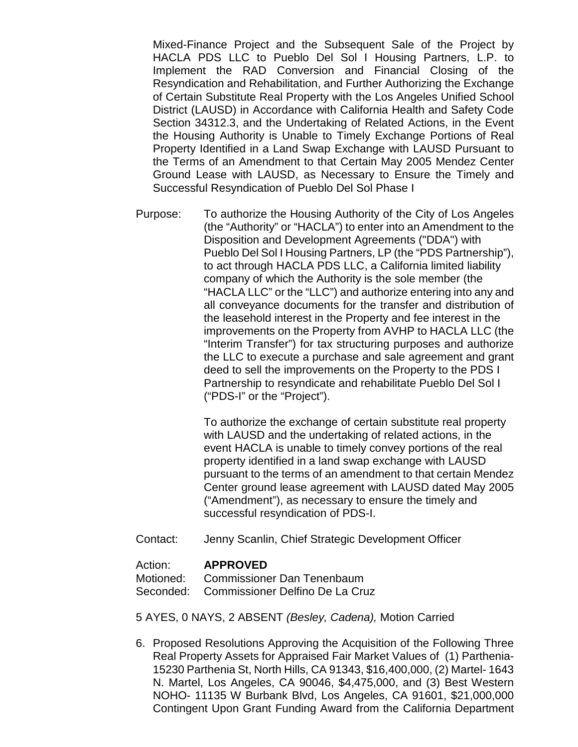Mixed-Finance Project and the Subsequent Sale of the Project by HACLA PDS LLC to Pueblo Del Sol I Housing Partners, L.P. to Implement the RAD Conversion and Financial Closing of the Resyndication and Rehabilitation, and Further Authorizing the Exchange of Certain Substitute Real Property with the Los Angeles Unified School District (LAUSD) in Accordance with California Health and Safety Code Section 34312.3, and the Undertaking of Related Actions, in the Event the Housing Authority is Unable to Timely Exchange Portions of Real Property Identified in a Land Swap Exchange with LAUSD Pursuant to the Terms of an Amendment to that Certain May 2005 Mendez Center Ground Lease with LAUSD, as Necessary to Ensure the Timely and Successful Resyndication of Pueblo Del Sol Phase I

Purpose: To authorize the Housing Authority of the City of Los Angeles (the "Authority" or "HACLA") to enter into an Amendment to the Disposition and Development Agreements ("DDA") with Pueblo Del Sol I Housing Partners, LP (the "PDS Partnership"), to act through HACLA PDS LLC, a California limited liability company of which the Authority is the sole member (the "HACLA LLC" or the "LLC") and authorize entering into any and all conveyance documents for the transfer and distribution of the leasehold interest in the Property and fee interest in the improvements on the Property from AVHP to HACLA LLC (the "Interim Transfer") for tax structuring purposes and authorize the LLC to execute a purchase and sale agreement and grant deed to sell the improvements on the Property to the PDS I Partnership to resyndicate and rehabilitate Pueblo Del Sol I ("PDS-I" or the "Project").

> To authorize the exchange of certain substitute real property with LAUSD and the undertaking of related actions, in the event HACLA is unable to timely convey portions of the real property identified in a land swap exchange with LAUSD pursuant to the terms of an amendment to that certain Mendez Center ground lease agreement with LAUSD dated May 2005 ("Amendment"), as necessary to ensure the timely and successful resyndication of PDS-I.

Contact: Jenny Scanlin, Chief Strategic Development Officer

#### Action: **APPROVED**

Motioned: Commissioner Dan Tenenbaum Seconded: Commissioner Delfino De La Cruz

5 AYES, 0 NAYS, 2 ABSENT *(Besley, Cadena),* Motion Carried

6. Proposed Resolutions Approving the Acquisition of the Following Three Real Property Assets for Appraised Fair Market Values of (1) Parthenia-15230 Parthenia St, North Hills, CA 91343, \$16,400,000, (2) Martel- 1643 N. Martel, Los Angeles, CA 90046, \$4,475,000, and (3) Best Western NOHO- 11135 W Burbank Blvd, Los Angeles, CA 91601, \$21,000,000 Contingent Upon Grant Funding Award from the California Department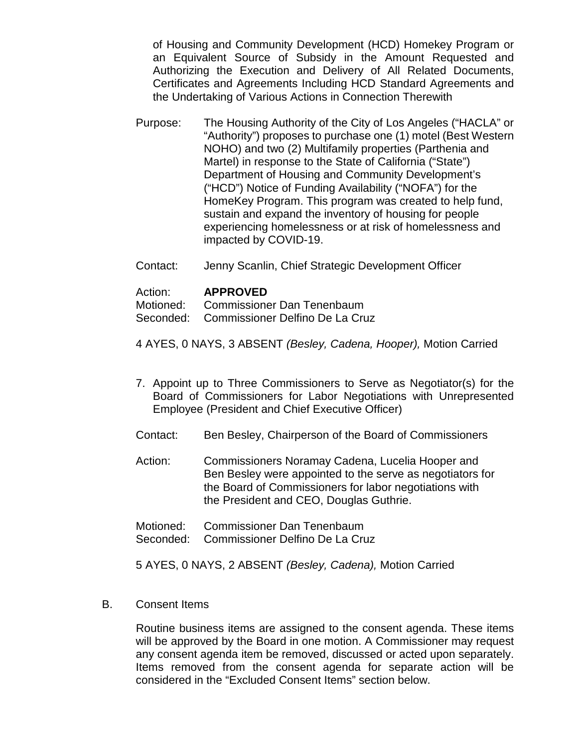of Housing and Community Development (HCD) Homekey Program or an Equivalent Source of Subsidy in the Amount Requested and Authorizing the Execution and Delivery of All Related Documents, Certificates and Agreements Including HCD Standard Agreements and the Undertaking of Various Actions in Connection Therewith

- Purpose: The Housing Authority of the City of Los Angeles ("HACLA" or "Authority") proposes to purchase one (1) motel (Best Western NOHO) and two (2) Multifamily properties (Parthenia and Martel) in response to the State of California ("State") Department of Housing and Community Development's ("HCD") Notice of Funding Availability ("NOFA") for the HomeKey Program. This program was created to help fund, sustain and expand the inventory of housing for people experiencing homelessness or at risk of homelessness and impacted by COVID-19.
- Contact: Jenny Scanlin, Chief Strategic Development Officer

#### Action: **APPROVED**

Motioned: Commissioner Dan Tenenbaum

Seconded: Commissioner Delfino De La Cruz

- 4 AYES, 0 NAYS, 3 ABSENT *(Besley, Cadena, Hooper),* Motion Carried
- 7. Appoint up to Three Commissioners to Serve as Negotiator(s) for the Board of Commissioners for Labor Negotiations with Unrepresented Employee (President and Chief Executive Officer)
- Contact: Ben Besley, Chairperson of the Board of Commissioners
- Action: Commissioners Noramay Cadena, Lucelia Hooper and Ben Besley were appointed to the serve as negotiators for the Board of Commissioners for labor negotiations with the President and CEO, Douglas Guthrie.
- Motioned: Commissioner Dan Tenenbaum
- Seconded: Commissioner Delfino De La Cruz

5 AYES, 0 NAYS, 2 ABSENT *(Besley, Cadena),* Motion Carried

B. Consent Items

Routine business items are assigned to the consent agenda. These items will be approved by the Board in one motion. A Commissioner may request any consent agenda item be removed, discussed or acted upon separately. Items removed from the consent agenda for separate action will be considered in the "Excluded Consent Items" section below.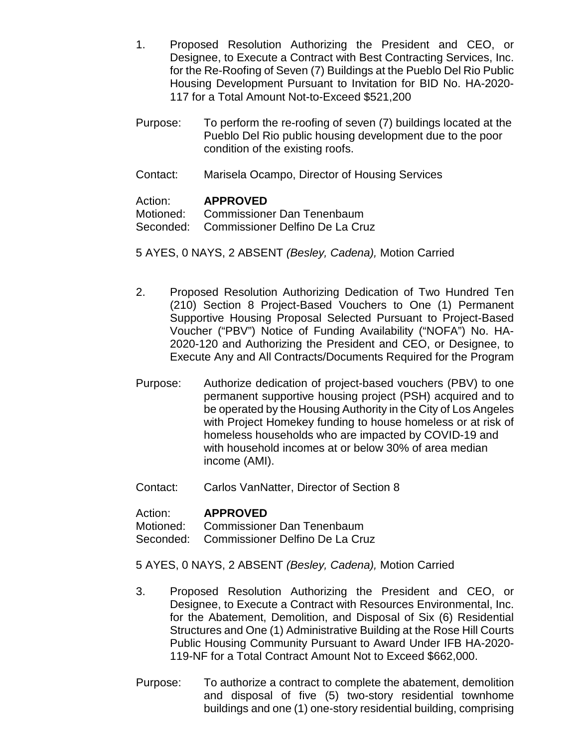- 1. Proposed Resolution Authorizing the President and CEO, or Designee, to Execute a Contract with Best Contracting Services, Inc. for the Re-Roofing of Seven (7) Buildings at the Pueblo Del Rio Public Housing Development Pursuant to Invitation for BID No. HA-2020- 117 for a Total Amount Not-to-Exceed \$521,200
- Purpose: To perform the re-roofing of seven (7) buildings located at the Pueblo Del Rio public housing development due to the poor condition of the existing roofs.
- Contact: Marisela Ocampo, Director of Housing Services

# Action: **APPROVED**

Motioned: Commissioner Dan Tenenbaum

Seconded: Commissioner Delfino De La Cruz

5 AYES, 0 NAYS, 2 ABSENT *(Besley, Cadena),* Motion Carried

- 2. Proposed Resolution Authorizing Dedication of Two Hundred Ten (210) Section 8 Project-Based Vouchers to One (1) Permanent Supportive Housing Proposal Selected Pursuant to Project-Based Voucher ("PBV") Notice of Funding Availability ("NOFA") No. HA-2020-120 and Authorizing the President and CEO, or Designee, to Execute Any and All Contracts/Documents Required for the Program
- Purpose: Authorize dedication of project-based vouchers (PBV) to one permanent supportive housing project (PSH) acquired and to be operated by the Housing Authority in the City of Los Angeles with Project Homekey funding to house homeless or at risk of homeless households who are impacted by COVID-19 and with household incomes at or below 30% of area median income (AMI).
- Contact: Carlos VanNatter, Director of Section 8

Action: **APPROVED**

Motioned: Commissioner Dan Tenenbaum

Seconded: Commissioner Delfino De La Cruz

- 5 AYES, 0 NAYS, 2 ABSENT *(Besley, Cadena),* Motion Carried
- 3. Proposed Resolution Authorizing the President and CEO, or Designee, to Execute a Contract with Resources Environmental, Inc. for the Abatement, Demolition, and Disposal of Six (6) Residential Structures and One (1) Administrative Building at the Rose Hill Courts Public Housing Community Pursuant to Award Under IFB HA-2020- 119-NF for a Total Contract Amount Not to Exceed \$662,000.
- Purpose: To authorize a contract to complete the abatement, demolition and disposal of five (5) two-story residential townhome buildings and one (1) one-story residential building, comprising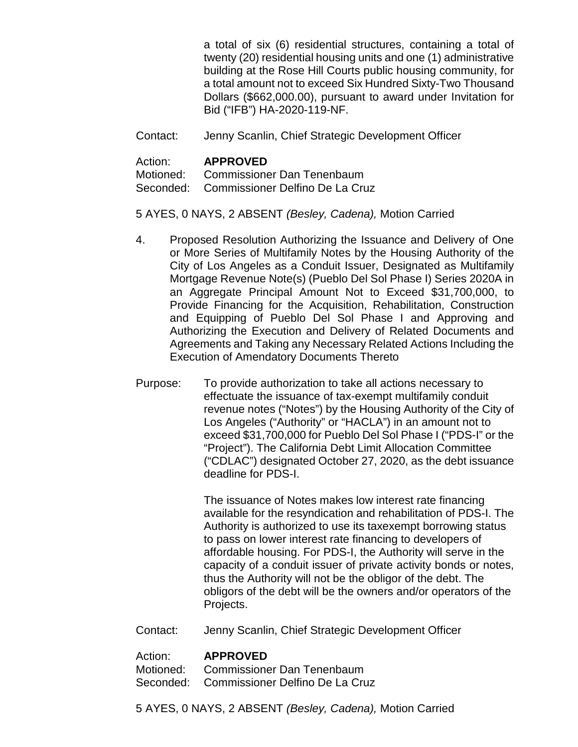a total of six (6) residential structures, containing a total of twenty (20) residential housing units and one (1) administrative building at the Rose Hill Courts public housing community, for a total amount not to exceed Six Hundred Sixty-Two Thousand Dollars (\$662,000.00), pursuant to award under Invitation for Bid ("IFB") HA-2020-119-NF.

Contact: Jenny Scanlin, Chief Strategic Development Officer

#### Action: **APPROVED**

Motioned: Commissioner Dan Tenenbaum Seconded: Commissioner Delfino De La Cruz

### 5 AYES, 0 NAYS, 2 ABSENT *(Besley, Cadena),* Motion Carried

- 4. Proposed Resolution Authorizing the Issuance and Delivery of One or More Series of Multifamily Notes by the Housing Authority of the City of Los Angeles as a Conduit Issuer, Designated as Multifamily Mortgage Revenue Note(s) (Pueblo Del Sol Phase I) Series 2020A in an Aggregate Principal Amount Not to Exceed \$31,700,000, to Provide Financing for the Acquisition, Rehabilitation, Construction and Equipping of Pueblo Del Sol Phase I and Approving and Authorizing the Execution and Delivery of Related Documents and Agreements and Taking any Necessary Related Actions Including the Execution of Amendatory Documents Thereto
- Purpose: To provide authorization to take all actions necessary to effectuate the issuance of tax-exempt multifamily conduit revenue notes ("Notes") by the Housing Authority of the City of Los Angeles ("Authority" or "HACLA") in an amount not to exceed \$31,700,000 for Pueblo Del Sol Phase I ("PDS-I" or the "Project"). The California Debt Limit Allocation Committee ("CDLAC") designated October 27, 2020, as the debt issuance deadline for PDS-I.

The issuance of Notes makes low interest rate financing available for the resyndication and rehabilitation of PDS-I. The Authority is authorized to use its taxexempt borrowing status to pass on lower interest rate financing to developers of affordable housing. For PDS-I, the Authority will serve in the capacity of a conduit issuer of private activity bonds or notes, thus the Authority will not be the obligor of the debt. The obligors of the debt will be the owners and/or operators of the Projects.

Contact: Jenny Scanlin, Chief Strategic Development Officer

#### Action: **APPROVED**

Motioned: Commissioner Dan Tenenbaum Seconded: Commissioner Delfino De La Cruz

5 AYES, 0 NAYS, 2 ABSENT *(Besley, Cadena),* Motion Carried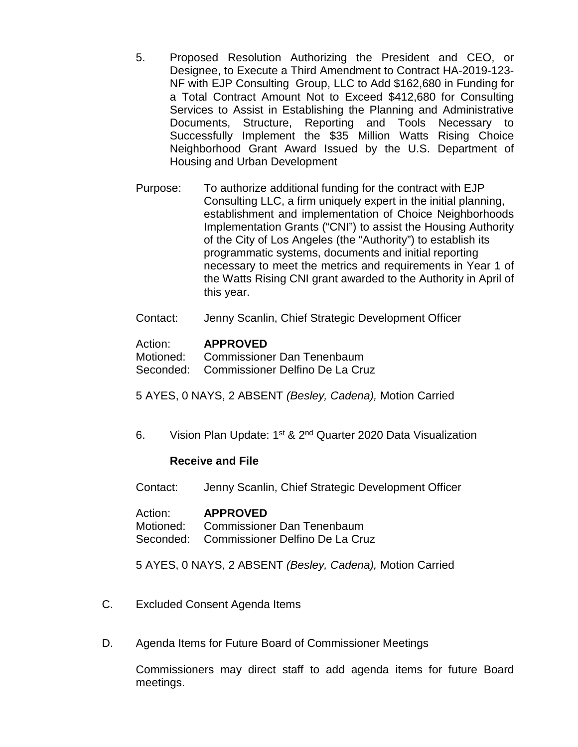- 5. Proposed Resolution Authorizing the President and CEO, or Designee, to Execute a Third Amendment to Contract HA-2019-123- NF with EJP Consulting Group, LLC to Add \$162,680 in Funding for a Total Contract Amount Not to Exceed \$412,680 for Consulting Services to Assist in Establishing the Planning and Administrative Documents, Structure, Reporting and Tools Necessary to Successfully Implement the \$35 Million Watts Rising Choice Neighborhood Grant Award Issued by the U.S. Department of Housing and Urban Development
- Purpose: To authorize additional funding for the contract with EJP Consulting LLC, a firm uniquely expert in the initial planning, establishment and implementation of Choice Neighborhoods Implementation Grants ("CNI") to assist the Housing Authority of the City of Los Angeles (the "Authority") to establish its programmatic systems, documents and initial reporting necessary to meet the metrics and requirements in Year 1 of the Watts Rising CNI grant awarded to the Authority in April of this year.
- Contact: Jenny Scanlin, Chief Strategic Development Officer

### Action: **APPROVED**

Motioned: Commissioner Dan Tenenbaum

Seconded: Commissioner Delfino De La Cruz

5 AYES, 0 NAYS, 2 ABSENT *(Besley, Cadena),* Motion Carried

6. Vision Plan Update: 1st & 2nd Quarter 2020 Data Visualization

#### **Receive and File**

Contact: Jenny Scanlin, Chief Strategic Development Officer

Action: **APPROVED** Motioned: Commissioner Dan Tenenbaum Seconded: Commissioner Delfino De La Cruz

5 AYES, 0 NAYS, 2 ABSENT *(Besley, Cadena),* Motion Carried

- C. Excluded Consent Agenda Items
- D. Agenda Items for Future Board of Commissioner Meetings

Commissioners may direct staff to add agenda items for future Board meetings.